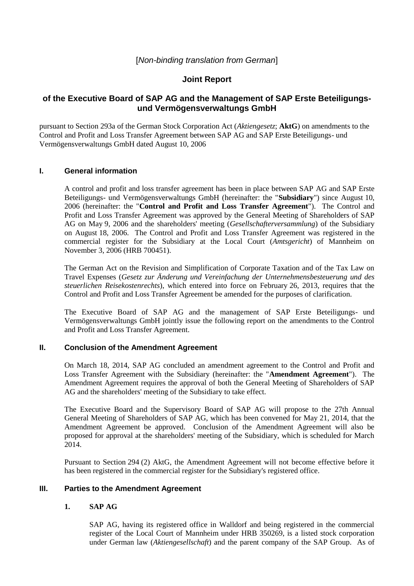# [*Non-binding translation from German*]

# **Joint Report**

# **of the Executive Board of SAP AG and the Management of SAP Erste Beteiligungsund Vermögensverwaltungs GmbH**

pursuant to Section 293a of the German Stock Corporation Act (*Aktiengesetz*; **AktG**) on amendments to the Control and Profit and Loss Transfer Agreement between SAP AG and SAP Erste Beteiligungs- und Vermögensverwaltungs GmbH dated August 10, 2006

## **I. General information**

A control and profit and loss transfer agreement has been in place between SAP AG and SAP Erste Beteiligungs- und Vermögensverwaltungs GmbH (hereinafter: the "**Subsidiary**") since August 10, 2006 (hereinafter: the "**Control and Profit and Loss Transfer Agreement**"). The Control and Profit and Loss Transfer Agreement was approved by the General Meeting of Shareholders of SAP AG on May 9, 2006 and the shareholders' meeting (*Gesellschafterversammlung*) of the Subsidiary on August 18, 2006. The Control and Profit and Loss Transfer Agreement was registered in the commercial register for the Subsidiary at the Local Court (*Amtsgericht*) of Mannheim on November 3, 2006 (HRB 700451).

The German Act on the Revision and Simplification of Corporate Taxation and of the Tax Law on Travel Expenses (*Gesetz zur Änderung und Vereinfachung der Unternehmensbesteuerung und des steuerlichen Reisekostenrechts*), which entered into force on February 26, 2013, requires that the Control and Profit and Loss Transfer Agreement be amended for the purposes of clarification.

The Executive Board of SAP AG and the management of SAP Erste Beteiligungs- und Vermögensverwaltungs GmbH jointly issue the following report on the amendments to the Control and Profit and Loss Transfer Agreement.

## **II. Conclusion of the Amendment Agreement**

On March 18, 2014, SAP AG concluded an amendment agreement to the Control and Profit and Loss Transfer Agreement with the Subsidiary (hereinafter: the "**Amendment Agreement**"). The Amendment Agreement requires the approval of both the General Meeting of Shareholders of SAP AG and the shareholders' meeting of the Subsidiary to take effect.

The Executive Board and the Supervisory Board of SAP AG will propose to the 27th Annual General Meeting of Shareholders of SAP AG, which has been convened for May 21, 2014, that the Amendment Agreement be approved. Conclusion of the Amendment Agreement will also be proposed for approval at the shareholders' meeting of the Subsidiary, which is scheduled for March 2014.

Pursuant to Section 294 (2) AktG, the Amendment Agreement will not become effective before it has been registered in the commercial register for the Subsidiary's registered office.

#### **III. Parties to the Amendment Agreement**

#### **1. SAP AG**

SAP AG, having its registered office in Walldorf and being registered in the commercial register of the Local Court of Mannheim under HRB 350269, is a listed stock corporation under German law (*Aktiengesellschaft*) and the parent company of the SAP Group. As of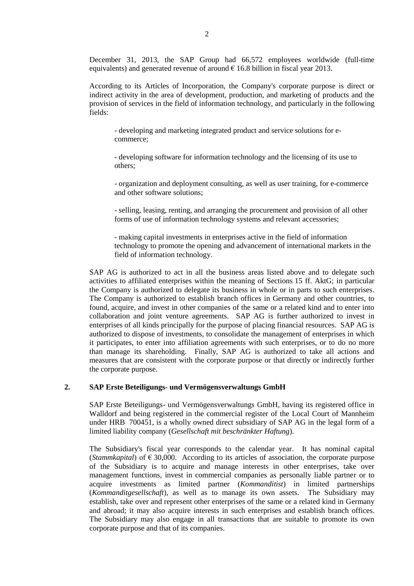December 31, 2013, the SAP Group had 66,572 employees worldwide (full-time equivalents) and generated revenue of around  $\epsilon$  16.8 billion in fiscal year 2013.

According to its Articles of Incorporation, the Company's corporate purpose is direct or indirect activity in the area of development, production, and marketing of products and the provision of services in the field of information technology, and particularly in the following fields:

- developing and marketing integrated product and service solutions for ecommerce;

- developing software for information technology and the licensing of its use to others;

- organization and deployment consulting, as well as user training, for e-commerce and other software solutions;

- selling, leasing, renting, and arranging the procurement and provision of all other forms of use of information technology systems and relevant accessories;

- making capital investments in enterprises active in the field of information technology to promote the opening and advancement of international markets in the field of information technology.

SAP AG is authorized to act in all the business areas listed above and to delegate such activities to affiliated enterprises within the meaning of Sections 15 ff. AktG; in particular the Company is authorized to delegate its business in whole or in parts to such enterprises. The Company is authorized to establish branch offices in Germany and other countries, to found, acquire, and invest in other companies of the same or a related kind and to enter into collaboration and joint venture agreements. SAP AG is further authorized to invest in enterprises of all kinds principally for the purpose of placing financial resources. SAP AG is authorized to dispose of investments, to consolidate the management of enterprises in which it participates, to enter into affiliation agreements with such enterprises, or to do no more than manage its shareholding. Finally, SAP AG is authorized to take all actions and measures that are consistent with the corporate purpose or that directly or indirectly further the corporate purpose.

#### **2. SAP Erste Beteiligungs- und Vermögensverwaltungs GmbH**

SAP Erste Beteiligungs- und Vermögensverwaltungs GmbH, having its registered office in Walldorf and being registered in the commercial register of the Local Court of Mannheim under HRB 700451, is a wholly owned direct subsidiary of SAP AG in the legal form of a limited liability company (*Gesellschaft mit beschränkter Haftung*).

The Subsidiary's fiscal year corresponds to the calendar year. It has nominal capital (*Stammkapital*) of  $\epsilon$  30,000. According to its articles of association, the corporate purpose of the Subsidiary is to acquire and manage interests in other enterprises, take over management functions, invest in commercial companies as personally liable partner or to acquire investments as limited partner (*Kommanditist*) in limited partnerships (*Kommanditgesellschaft*), as well as to manage its own assets. The Subsidiary may establish, take over and represent other enterprises of the same or a related kind in Germany and abroad; it may also acquire interests in such enterprises and establish branch offices. The Subsidiary may also engage in all transactions that are suitable to promote its own corporate purpose and that of its companies.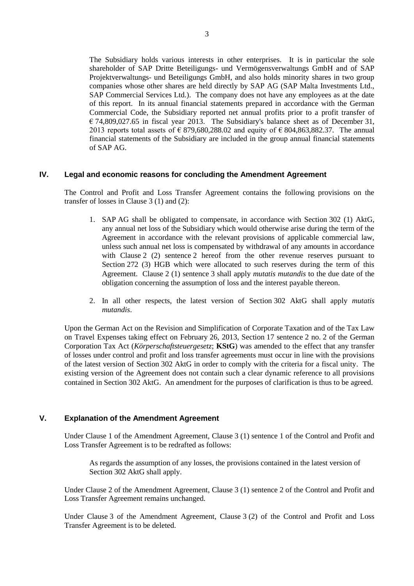The Subsidiary holds various interests in other enterprises. It is in particular the sole shareholder of SAP Dritte Beteiligungs- und Vermögensverwaltungs GmbH and of SAP Projektverwaltungs- und Beteiligungs GmbH, and also holds minority shares in two group companies whose other shares are held directly by SAP AG (SAP Malta Investments Ltd., SAP Commercial Services Ltd.). The company does not have any employees as at the date of this report. In its annual financial statements prepared in accordance with the German Commercial Code, the Subsidiary reported net annual profits prior to a profit transfer of  $\epsilon$  74,809,027.65 in fiscal year 2013. The Subsidiary's balance sheet as of December 31, 2013 reports total assets of  $\epsilon$  879,680,288.02 and equity of  $\epsilon$  804,863,882.37. The annual financial statements of the Subsidiary are included in the group annual financial statements of SAP AG.

#### **IV. Legal and economic reasons for concluding the Amendment Agreement**

The Control and Profit and Loss Transfer Agreement contains the following provisions on the transfer of losses in Clause 3 (1) and (2):

- 1. SAP AG shall be obligated to compensate, in accordance with Section 302 (1) AktG, any annual net loss of the Subsidiary which would otherwise arise during the term of the Agreement in accordance with the relevant provisions of applicable commercial law, unless such annual net loss is compensated by withdrawal of any amounts in accordance with Clause 2 (2) sentence 2 hereof from the other revenue reserves pursuant to Section 272 (3) HGB which were allocated to such reserves during the term of this Agreement. Clause 2 (1) sentence 3 shall apply *mutatis mutandis* to the due date of the obligation concerning the assumption of loss and the interest payable thereon.
- 2. In all other respects, the latest version of Section 302 AktG shall apply *mutatis mutandis*.

Upon the German Act on the Revision and Simplification of Corporate Taxation and of the Tax Law on Travel Expenses taking effect on February 26, 2013, Section 17 sentence 2 no. 2 of the German Corporation Tax Act (*Körperschaftsteuergesetz*; **KStG**) was amended to the effect that any transfer of losses under control and profit and loss transfer agreements must occur in line with the provisions of the latest version of Section 302 AktG in order to comply with the criteria for a fiscal unity. The existing version of the Agreement does not contain such a clear dynamic reference to all provisions contained in Section 302 AktG. An amendment for the purposes of clarification is thus to be agreed.

#### **V. Explanation of the Amendment Agreement**

Under Clause 1 of the Amendment Agreement, Clause 3 (1) sentence 1 of the Control and Profit and Loss Transfer Agreement is to be redrafted as follows:

As regards the assumption of any losses, the provisions contained in the latest version of Section 302 AktG shall apply.

Under Clause 2 of the Amendment Agreement, Clause 3 (1) sentence 2 of the Control and Profit and Loss Transfer Agreement remains unchanged.

Under Clause 3 of the Amendment Agreement, Clause 3 (2) of the Control and Profit and Loss Transfer Agreement is to be deleted.